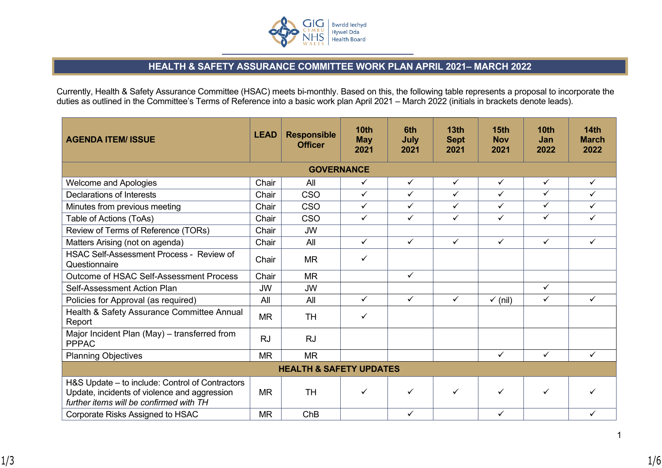

## **HEALTH & SAFETY ASSURANCE COMMITTEE WORK PLAN APRIL 2021– MARCH 2022**

Currently, Health & Safety Assurance Committee (HSAC) meets bi-monthly. Based on this, the following table represents a proposal to incorporate the duties as outlined in the Committee's Terms of Reference into a basic work plan April 2021 – March 2022 (initials in brackets denote leads).

| <b>AGENDA ITEM/ ISSUE</b>                                                                                                                  | <b>LEAD</b> | <b>Responsible</b><br><b>Officer</b> | <b>10th</b><br><b>May</b><br>2021 | 6th<br>July<br>2021 | 13 <sub>th</sub><br><b>Sept</b><br>2021 | 15 <sub>th</sub><br><b>Nov</b><br>2021 | 10 <sub>th</sub><br><b>Jan</b><br>2022 | <b>14th</b><br><b>March</b><br>2022 |  |
|--------------------------------------------------------------------------------------------------------------------------------------------|-------------|--------------------------------------|-----------------------------------|---------------------|-----------------------------------------|----------------------------------------|----------------------------------------|-------------------------------------|--|
| <b>GOVERNANCE</b>                                                                                                                          |             |                                      |                                   |                     |                                         |                                        |                                        |                                     |  |
| <b>Welcome and Apologies</b>                                                                                                               | Chair       | All                                  | $\checkmark$                      | $\checkmark$        | $\checkmark$                            | $\checkmark$                           | $\checkmark$                           | $\checkmark$                        |  |
| Declarations of Interests                                                                                                                  | Chair       | <b>CSO</b>                           | $\checkmark$                      | $\checkmark$        | $\checkmark$                            | $\checkmark$                           | ✓                                      | ✓                                   |  |
| Minutes from previous meeting                                                                                                              | Chair       | CSO                                  | $\checkmark$                      | $\checkmark$        | $\checkmark$                            | $\checkmark$                           | $\checkmark$                           | ✓                                   |  |
| Table of Actions (ToAs)                                                                                                                    | Chair       | CSO                                  | $\checkmark$                      | $\checkmark$        | $\checkmark$                            | $\checkmark$                           | ✓                                      | ✓                                   |  |
| Review of Terms of Reference (TORs)                                                                                                        | Chair       | <b>JW</b>                            |                                   |                     |                                         |                                        |                                        |                                     |  |
| Matters Arising (not on agenda)                                                                                                            | Chair       | All                                  | $\checkmark$                      | $\checkmark$        | $\checkmark$                            | $\checkmark$                           | ✓                                      | ✓                                   |  |
| HSAC Self-Assessment Process - Review of<br>Questionnaire                                                                                  | Chair       | <b>MR</b>                            | ✓                                 |                     |                                         |                                        |                                        |                                     |  |
| Outcome of HSAC Self-Assessment Process                                                                                                    | Chair       | <b>MR</b>                            |                                   | $\checkmark$        |                                         |                                        |                                        |                                     |  |
| Self-Assessment Action Plan                                                                                                                | <b>JW</b>   | <b>JW</b>                            |                                   |                     |                                         |                                        | $\checkmark$                           |                                     |  |
| Policies for Approval (as required)                                                                                                        | All         | All                                  | $\checkmark$                      | $\checkmark$        | $\checkmark$                            | $\checkmark$ (nil)                     | $\checkmark$                           | ✓                                   |  |
| Health & Safety Assurance Committee Annual<br>Report                                                                                       | <b>MR</b>   | <b>TH</b>                            | ✓                                 |                     |                                         |                                        |                                        |                                     |  |
| Major Incident Plan (May) - transferred from<br><b>PPPAC</b>                                                                               | <b>RJ</b>   | <b>RJ</b>                            |                                   |                     |                                         |                                        |                                        |                                     |  |
| <b>Planning Objectives</b>                                                                                                                 | <b>MR</b>   | <b>MR</b>                            |                                   |                     |                                         | $\checkmark$                           | $\checkmark$                           | $\checkmark$                        |  |
| <b>HEALTH &amp; SAFETY UPDATES</b>                                                                                                         |             |                                      |                                   |                     |                                         |                                        |                                        |                                     |  |
| H&S Update – to include: Control of Contractors<br>Update, incidents of violence and aggression<br>further items will be confirmed with TH | <b>MR</b>   | <b>TH</b>                            | ✓                                 | ✓                   | $\checkmark$                            | $\checkmark$                           | ✓                                      |                                     |  |
| Corporate Risks Assigned to HSAC                                                                                                           | <b>MR</b>   | ChB                                  |                                   | ✓                   |                                         | $\checkmark$                           |                                        | ✓                                   |  |

1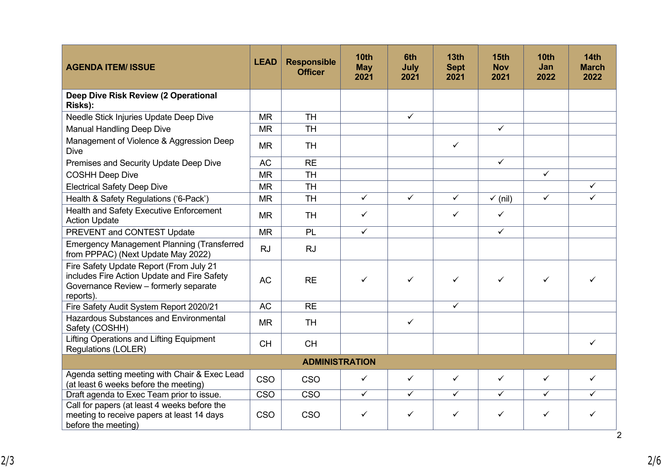| <b>AGENDA ITEM/ ISSUE</b>                                                                                                                    | <b>LEAD</b> | <b>Responsible</b><br><b>Officer</b> | <b>10th</b><br><b>May</b><br>2021 | 6th<br>July<br>2021 | 13 <sub>th</sub><br><b>Sept</b><br>2021 | 15 <sub>th</sub><br><b>Nov</b><br>2021 | 10 <sub>th</sub><br>Jan<br>2022 | 14 <sub>th</sub><br><b>March</b><br>2022 |
|----------------------------------------------------------------------------------------------------------------------------------------------|-------------|--------------------------------------|-----------------------------------|---------------------|-----------------------------------------|----------------------------------------|---------------------------------|------------------------------------------|
| Deep Dive Risk Review (2 Operational<br>Risks):                                                                                              |             |                                      |                                   |                     |                                         |                                        |                                 |                                          |
| Needle Stick Injuries Update Deep Dive                                                                                                       | <b>MR</b>   | <b>TH</b>                            |                                   | $\checkmark$        |                                         |                                        |                                 |                                          |
| <b>Manual Handling Deep Dive</b>                                                                                                             | <b>MR</b>   | <b>TH</b>                            |                                   |                     |                                         | $\checkmark$                           |                                 |                                          |
| Management of Violence & Aggression Deep<br><b>Dive</b>                                                                                      | <b>MR</b>   | <b>TH</b>                            |                                   |                     | $\checkmark$                            |                                        |                                 |                                          |
| Premises and Security Update Deep Dive                                                                                                       | <b>AC</b>   | <b>RE</b>                            |                                   |                     |                                         | $\checkmark$                           |                                 |                                          |
| <b>COSHH Deep Dive</b>                                                                                                                       | <b>MR</b>   | <b>TH</b>                            |                                   |                     |                                         |                                        | $\checkmark$                    |                                          |
| <b>Electrical Safety Deep Dive</b>                                                                                                           | <b>MR</b>   | <b>TH</b>                            |                                   |                     |                                         |                                        |                                 | $\checkmark$                             |
| Health & Safety Regulations ('6-Pack')                                                                                                       | <b>MR</b>   | <b>TH</b>                            | $\checkmark$                      | $\checkmark$        | $\checkmark$                            | $\checkmark$ (nil)                     | $\checkmark$                    | ✓                                        |
| Health and Safety Executive Enforcement<br><b>Action Update</b>                                                                              | <b>MR</b>   | <b>TH</b>                            | ✓                                 |                     | $\checkmark$                            | $\checkmark$                           |                                 |                                          |
| PREVENT and CONTEST Update                                                                                                                   | <b>MR</b>   | <b>PL</b>                            | $\checkmark$                      |                     |                                         | $\checkmark$                           |                                 |                                          |
| <b>Emergency Management Planning (Transferred</b><br>from PPPAC) (Next Update May 2022)                                                      | <b>RJ</b>   | <b>RJ</b>                            |                                   |                     |                                         |                                        |                                 |                                          |
| Fire Safety Update Report (From July 21<br>includes Fire Action Update and Fire Safety<br>Governance Review - formerly separate<br>reports). | <b>AC</b>   | <b>RE</b>                            | ✓                                 | ✓                   | ✓                                       | ✓                                      | ✓                               | ✓                                        |
| Fire Safety Audit System Report 2020/21                                                                                                      | <b>AC</b>   | <b>RE</b>                            |                                   |                     | $\checkmark$                            |                                        |                                 |                                          |
| <b>Hazardous Substances and Environmental</b><br>Safety (COSHH)                                                                              | <b>MR</b>   | <b>TH</b>                            |                                   | $\checkmark$        |                                         |                                        |                                 |                                          |
| Lifting Operations and Lifting Equipment<br><b>Regulations (LOLER)</b>                                                                       | <b>CH</b>   | <b>CH</b>                            |                                   |                     |                                         |                                        |                                 | ✓                                        |
| <b>ADMINISTRATION</b>                                                                                                                        |             |                                      |                                   |                     |                                         |                                        |                                 |                                          |
| Agenda setting meeting with Chair & Exec Lead<br>(at least 6 weeks before the meeting)                                                       | CSO         | CSO                                  | ✓                                 | $\checkmark$        | $\checkmark$                            | $\checkmark$                           | $\checkmark$                    | $\checkmark$                             |
| Draft agenda to Exec Team prior to issue.                                                                                                    | <b>CSO</b>  | <b>CSO</b>                           | $\checkmark$                      | $\checkmark$        | $\checkmark$                            | $\checkmark$                           | $\checkmark$                    | ✓                                        |
| Call for papers (at least 4 weeks before the<br>meeting to receive papers at least 14 days<br>before the meeting)                            | <b>CSO</b>  | <b>CSO</b>                           | ✓                                 | $\checkmark$        | $\checkmark$                            | $\checkmark$                           | $\checkmark$                    | ✓<br>$\overline{2}$                      |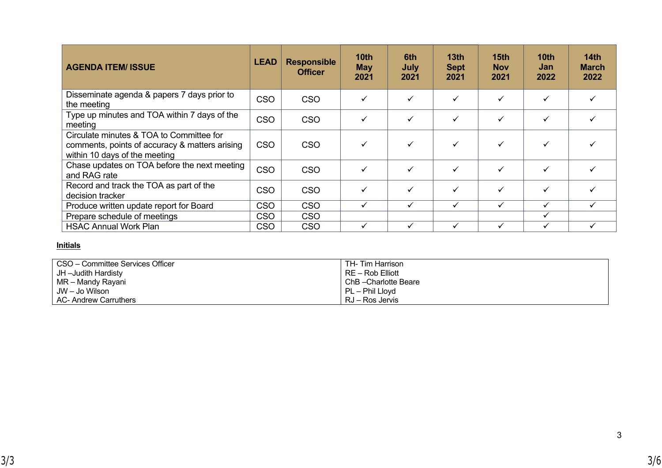| <b>AGENDA ITEM/ ISSUE</b>                                                                                                   | <b>LEAD</b> | <b>Responsible</b><br><b>Officer</b> | 10 <sub>th</sub><br><b>May</b><br>2021 | 6th<br>July<br>2021 | 13 <sub>th</sub><br><b>Sept</b><br>2021 | 15 <sub>th</sub><br><b>Nov</b><br>2021 | 10th<br>Jan<br>2022 | 14th<br><b>March</b><br>2022 |
|-----------------------------------------------------------------------------------------------------------------------------|-------------|--------------------------------------|----------------------------------------|---------------------|-----------------------------------------|----------------------------------------|---------------------|------------------------------|
| Disseminate agenda & papers 7 days prior to<br>the meeting                                                                  | <b>CSO</b>  | <b>CSO</b>                           |                                        |                     |                                         |                                        |                     |                              |
| Type up minutes and TOA within 7 days of the<br>meeting                                                                     | <b>CSO</b>  | <b>CSO</b>                           |                                        |                     |                                         |                                        |                     |                              |
| Circulate minutes & TOA to Committee for<br>comments, points of accuracy & matters arising<br>within 10 days of the meeting | <b>CSO</b>  | <b>CSO</b>                           |                                        |                     |                                         |                                        |                     |                              |
| Chase updates on TOA before the next meeting<br>and RAG rate                                                                | <b>CSO</b>  | <b>CSO</b>                           | ✓                                      |                     |                                         |                                        | ✓                   |                              |
| Record and track the TOA as part of the<br>decision tracker                                                                 | <b>CSO</b>  | <b>CSO</b>                           |                                        |                     |                                         |                                        | ✓                   |                              |
| Produce written update report for Board                                                                                     | <b>CSO</b>  | <b>CSO</b>                           | ✓                                      | ✓                   | $\checkmark$                            | ✓                                      | ✓                   | ✓                            |
| Prepare schedule of meetings                                                                                                | <b>CSO</b>  | <b>CSO</b>                           |                                        |                     |                                         |                                        |                     |                              |
| <b>HSAC Annual Work Plan</b>                                                                                                | <b>CSO</b>  | <b>CSO</b>                           | ✓                                      |                     |                                         |                                        | ✓                   |                              |

## **Initials**

| CSO – Committee Services Officer | TH- Tim Harrison    |
|----------------------------------|---------------------|
| JH –Judith Hardisty              | RE – Rob Elliott    |
| MR – Mandy Rayani                | ChB-Charlotte Beare |
| JW – Jo Wilson                   | $PL$ – Phil Lloyd   |
| AC- Andrew Carruthers            | RJ – Ros Jervis     |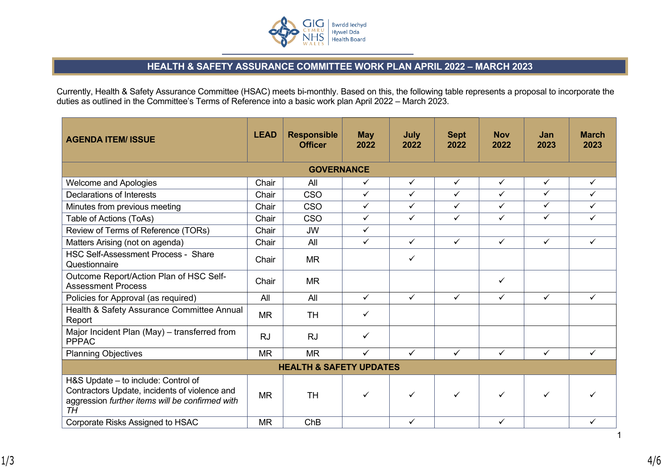

## **HEALTH & SAFETY ASSURANCE COMMITTEE WORK PLAN APRIL 2022 – MARCH 2023**

Currently, Health & Safety Assurance Committee (HSAC) meets bi-monthly. Based on this, the following table represents a proposal to incorporate the duties as outlined in the Committee's Terms of Reference into a basic work plan April 2022 – March 2023.

| <b>AGENDA ITEM/ ISSUE</b>                                                                                                                            | <b>LEAD</b>       | <b>Responsible</b><br><b>Officer</b> | <b>May</b><br>2022 | July<br>2022 | <b>Sept</b><br>2022 | <b>Nov</b><br>2022 | Jan<br>2023             | <b>March</b><br>2023 |  |  |
|------------------------------------------------------------------------------------------------------------------------------------------------------|-------------------|--------------------------------------|--------------------|--------------|---------------------|--------------------|-------------------------|----------------------|--|--|
|                                                                                                                                                      | <b>GOVERNANCE</b> |                                      |                    |              |                     |                    |                         |                      |  |  |
| <b>Welcome and Apologies</b>                                                                                                                         | Chair             | All                                  | ✓                  | $\checkmark$ | $\checkmark$        | $\checkmark$       | ✓                       | $\checkmark$         |  |  |
| Declarations of Interests                                                                                                                            | Chair             | <b>CSO</b>                           | $\checkmark$       | $\checkmark$ | $\checkmark$        | $\checkmark$       | $\checkmark$            | $\checkmark$         |  |  |
| Minutes from previous meeting                                                                                                                        | Chair             | <b>CSO</b>                           | ✓                  | $\checkmark$ | $\checkmark$        | $\checkmark$       | $\checkmark$            | $\checkmark$         |  |  |
| Table of Actions (ToAs)                                                                                                                              | Chair             | <b>CSO</b>                           | $\checkmark$       | $\checkmark$ | $\checkmark$        | $\checkmark$       | $\overline{\checkmark}$ | $\checkmark$         |  |  |
| Review of Terms of Reference (TORs)                                                                                                                  | Chair             | <b>JW</b>                            | $\checkmark$       |              |                     |                    |                         |                      |  |  |
| Matters Arising (not on agenda)                                                                                                                      | Chair             | All                                  | $\checkmark$       | $\checkmark$ | $\checkmark$        | $\checkmark$       | $\checkmark$            | $\checkmark$         |  |  |
| <b>HSC Self-Assessment Process - Share</b><br>Questionnaire                                                                                          | Chair             | <b>MR</b>                            |                    | $\checkmark$ |                     |                    |                         |                      |  |  |
| Outcome Report/Action Plan of HSC Self-<br><b>Assessment Process</b>                                                                                 | Chair             | <b>MR</b>                            |                    |              |                     | ✓                  |                         |                      |  |  |
| Policies for Approval (as required)                                                                                                                  | All               | All                                  | $\checkmark$       | $\checkmark$ | $\checkmark$        | $\checkmark$       | $\checkmark$            | $\checkmark$         |  |  |
| Health & Safety Assurance Committee Annual<br>Report                                                                                                 | <b>MR</b>         | <b>TH</b>                            | $\checkmark$       |              |                     |                    |                         |                      |  |  |
| Major Incident Plan (May) - transferred from<br><b>PPPAC</b>                                                                                         | <b>RJ</b>         | <b>RJ</b>                            | $\checkmark$       |              |                     |                    |                         |                      |  |  |
| <b>Planning Objectives</b>                                                                                                                           | <b>MR</b>         | <b>MR</b>                            | $\checkmark$       | $\checkmark$ | $\checkmark$        | $\checkmark$       | $\checkmark$            | $\checkmark$         |  |  |
| <b>HEALTH &amp; SAFETY UPDATES</b>                                                                                                                   |                   |                                      |                    |              |                     |                    |                         |                      |  |  |
| H&S Update - to include: Control of<br>Contractors Update, incidents of violence and<br>aggression further items will be confirmed with<br><b>TH</b> | <b>MR</b>         | <b>TH</b>                            | $\checkmark$       | ✓            | ✓                   | ✓                  | ✓                       |                      |  |  |
| <b>Corporate Risks Assigned to HSAC</b>                                                                                                              | <b>MR</b>         | ChB                                  |                    | $\checkmark$ |                     | ✓                  |                         | $\checkmark$         |  |  |

1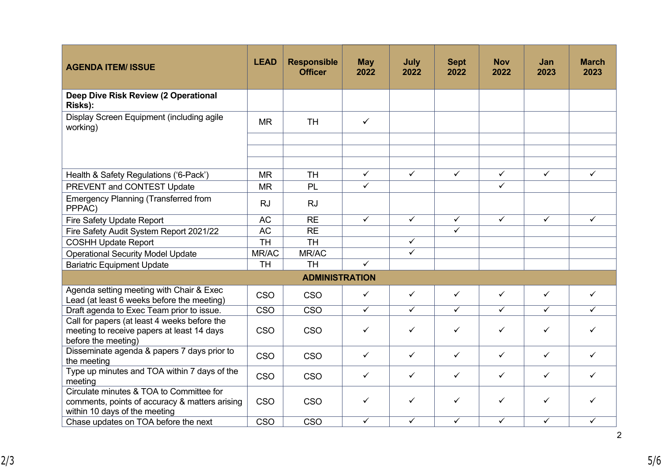| <b>AGENDA ITEM/ ISSUE</b>                                                                                                   | <b>LEAD</b> | <b>Responsible</b><br><b>Officer</b> | <b>May</b><br>2022 | July<br>2022 | <b>Sept</b><br>2022     | <b>Nov</b><br>2022 | Jan<br>2023  | <b>March</b><br>2023 |
|-----------------------------------------------------------------------------------------------------------------------------|-------------|--------------------------------------|--------------------|--------------|-------------------------|--------------------|--------------|----------------------|
| Deep Dive Risk Review (2 Operational<br>Risks):                                                                             |             |                                      |                    |              |                         |                    |              |                      |
| Display Screen Equipment (including agile<br>working)                                                                       | <b>MR</b>   | <b>TH</b>                            | $\checkmark$       |              |                         |                    |              |                      |
|                                                                                                                             |             |                                      |                    |              |                         |                    |              |                      |
| Health & Safety Regulations ('6-Pack')                                                                                      | <b>MR</b>   | <b>TH</b>                            | $\checkmark$       | $\checkmark$ | $\checkmark$            | $\checkmark$       | $\checkmark$ | $\checkmark$         |
| PREVENT and CONTEST Update                                                                                                  | <b>MR</b>   | PL                                   | $\checkmark$       |              |                         | $\checkmark$       |              |                      |
| <b>Emergency Planning (Transferred from</b><br>PPPAC)                                                                       | <b>RJ</b>   | <b>RJ</b>                            |                    |              |                         |                    |              |                      |
| Fire Safety Update Report                                                                                                   | <b>AC</b>   | <b>RE</b>                            | $\checkmark$       | $\checkmark$ | $\checkmark$            | $\checkmark$       | $\checkmark$ | $\checkmark$         |
| Fire Safety Audit System Report 2021/22                                                                                     | <b>AC</b>   | <b>RE</b>                            |                    |              | $\overline{\checkmark}$ |                    |              |                      |
| <b>COSHH Update Report</b>                                                                                                  | <b>TH</b>   | <b>TH</b>                            |                    | $\checkmark$ |                         |                    |              |                      |
| <b>Operational Security Model Update</b>                                                                                    | MR/AC       | MR/AC                                |                    | $\checkmark$ |                         |                    |              |                      |
| <b>Bariatric Equipment Update</b>                                                                                           | <b>TH</b>   | <b>TH</b>                            | $\checkmark$       |              |                         |                    |              |                      |
|                                                                                                                             |             | <b>ADMINISTRATION</b>                |                    |              |                         |                    |              |                      |
| Agenda setting meeting with Chair & Exec<br>Lead (at least 6 weeks before the meeting)                                      | <b>CSO</b>  | CSO                                  | $\checkmark$       | $\checkmark$ | $\checkmark$            | $\checkmark$       | $\checkmark$ | $\checkmark$         |
| Draft agenda to Exec Team prior to issue.                                                                                   | <b>CSO</b>  | <b>CSO</b>                           | $\checkmark$       | $\checkmark$ | $\checkmark$            | $\checkmark$       | $\checkmark$ | ✓                    |
| Call for papers (at least 4 weeks before the<br>meeting to receive papers at least 14 days<br>before the meeting)           | <b>CSO</b>  | <b>CSO</b>                           | $\checkmark$       | $\checkmark$ | $\checkmark$            | $\checkmark$       | ✓            | ✓                    |
| Disseminate agenda & papers 7 days prior to<br>the meeting                                                                  | CSO         | <b>CSO</b>                           | $\checkmark$       | $\checkmark$ | $\checkmark$            | $\checkmark$       | $\checkmark$ | $\checkmark$         |
| Type up minutes and TOA within 7 days of the<br>meeting                                                                     | <b>CSO</b>  | <b>CSO</b>                           | $\checkmark$       | $\checkmark$ | $\checkmark$            | $\checkmark$       | $\checkmark$ | ✓                    |
| Circulate minutes & TOA to Committee for<br>comments, points of accuracy & matters arising<br>within 10 days of the meeting | <b>CSO</b>  | <b>CSO</b>                           | $\checkmark$       | $\checkmark$ | $\checkmark$            | $\checkmark$       | ✓            | ✓                    |
| Chase updates on TOA before the next                                                                                        | CSO         | CSO                                  | $\checkmark$       | $\checkmark$ | $\checkmark$            | $\checkmark$       | ✓            | $\checkmark$         |